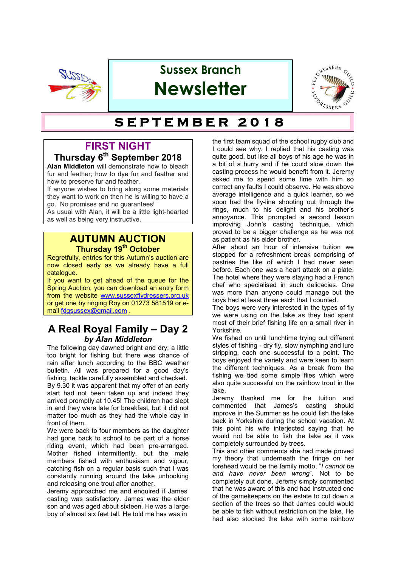

# **Sussex Branch Newsletter**



# $SET **THEORER** 2018$

### **FIRST NIGHT**

### **Thursday 6th September 2018**

**Alan Middleton** will demonstrate how to bleach fur and feather; how to dye fur and feather and how to preserve fur and feather.

If anyone wishes to bring along some materials they want to work on then he is willing to have a go. No promises and no guarantees!

As usual with Alan, it will be a little light-hearted as well as being very instructive.

#### **AUTUMN AUCTION Thursday 19th October**

Regretfully, entries for this Autumn's auction are now closed early as we already have a full catalogue.

If you want to get ahead of the queue for the Spring Auction, you can download an entry form from the website www.sussexflydressers.org.uk or get one by ringing Roy on 01273 581519 or email fdgsussex@gmail.com .

### **A Real Royal Family – Day 2** *by Alan Middleton*

The following day dawned bright and dry; a little too bright for fishing but there was chance of rain after lunch according to the BBC weather bulletin. All was prepared for a good day's fishing, tackle carefully assembled and checked. By 9.30 it was apparent that my offer of an early start had not been taken up and indeed they arrived promptly at 10.45! The children had slept in and they were late for breakfast, but it did not matter too much as they had the whole day in front of them.

We were back to four members as the daughter had gone back to school to be part of a horse riding event, which had been pre-arranged. Mother fished intermittently, but the male members fished with enthusiasm and vigour, catching fish on a regular basis such that I was constantly running around the lake unhooking and releasing one trout after another.

Jeremy approached me and enquired if James' casting was satisfactory. James was the elder son and was aged about sixteen. He was a large boy of almost six feet tall. He told me has was in

the first team squad of the school rugby club and I could see why. I replied that his casting was quite good, but like all boys of his age he was in a bit of a hurry and if he could slow down the casting process he would benefit from it. Jeremy asked me to spend some time with him so correct any faults I could observe. He was above average intelligence and a quick learner, so we soon had the fly-line shooting out through the rings, much to his delight and his brother's annoyance. This prompted a second lesson improving John's casting technique, which proved to be a bigger challenge as he was not as patient as his elder brother.

After about an hour of intensive tuition we stopped for a refreshment break comprising of pastries the like of which I had never seen before. Each one was a heart attack on a plate. The hotel where they were staying had a French chef who specialised in such delicacies. One was more than anyone could manage but the boys had at least three each that I counted.

The boys were very interested in the types of fly we were using on the lake as they had spent most of their brief fishing life on a small river in Yorkshire.

We fished on until lunchtime trying out different styles of fishing - dry fly, slow nymphing and lure stripping, each one successful to a point. The boys enjoyed the variety and were keen to learn the different techniques. As a break from the fishing we tied some simple flies which were also quite successful on the rainbow trout in the lake.

Jeremy thanked me for the tuition and commented that James's casting should improve in the Summer as he could fish the lake back in Yorkshire during the school vacation. At this point his wife interjected saying that he would not be able to fish the lake as it was completely surrounded by trees.

This and other comments she had made proved my theory that underneath the fringe on her forehead would be the family motto, "*I cannot be and have never been wrong*". Not to be completely out done, Jeremy simply commented that he was aware of this and had instructed one of the gamekeepers on the estate to cut down a section of the trees so that James could would be able to fish without restriction on the lake. He had also stocked the lake with some rainbow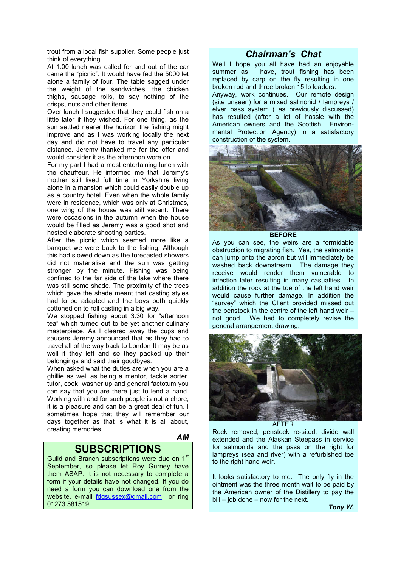trout from a local fish supplier. Some people just think of everything.

At 1.00 lunch was called for and out of the car came the "picnic". It would have fed the 5000 let alone a family of four. The table sagged under the weight of the sandwiches, the chicken thighs, sausage rolls, to say nothing of the crisps, nuts and other items.

Over lunch I suggested that they could fish on a little later if they wished. For one thing, as the sun settled nearer the horizon the fishing might improve and as I was working locally the next day and did not have to travel any particular distance. Jeremy thanked me for the offer and would consider it as the afternoon wore on.

For my part I had a most entertaining lunch with the chauffeur. He informed me that Jeremy's mother still lived full time in Yorkshire living alone in a mansion which could easily double up as a country hotel. Even when the whole family were in residence, which was only at Christmas, one wing of the house was still vacant. There were occasions in the autumn when the house would be filled as Jeremy was a good shot and hosted elaborate shooting parties.

After the picnic which seemed more like a banquet we were back to the fishing. Although this had slowed down as the forecasted showers did not materialise and the sun was getting stronger by the minute. Fishing was being confined to the far side of the lake where there was still some shade. The proximity of the trees which gave the shade meant that casting styles had to be adapted and the boys both quickly cottoned on to roll casting in a big way.

We stopped fishing about 3.30 for "afternoon" tea" which turned out to be yet another culinary masterpiece. As I cleared away the cups and saucers Jeremy announced that as they had to travel all of the way back to London It may be as well if they left and so they packed up their belongings and said their goodbyes.

When asked what the duties are when you are a ghillie as well as being a mentor, tackle sorter, tutor, cook, washer up and general factotum you can say that you are there just to lend a hand. Working with and for such people is not a chore; it is a pleasure and can be a great deal of fun. I sometimes hope that they will remember our days together as that is what it is all about, creating memories.

*AM*

### **SUBSCRIPTIONS**

Guild and Branch subscriptions were due on 1<sup>st</sup> September, so please let Roy Gurney have them ASAP. It is not necessary to complete a form if your details have not changed. If you do need a form you can download one from the website, e-mail fdgsussex@gmail.com or ring 01273 581519

#### *Chairman's Chat*

Well I hope you all have had an enjoyable summer as I have, trout fishing has been replaced by carp on the fly resulting in one broken rod and three broken 15 lb leaders. Anyway, work continues. Our remote design (site unseen) for a mixed salmonid / lampreys / elver pass system ( as previously discussed) has resulted (after a lot of hassle with the American owners and the Scottish Environmental Protection Agency) in a satisfactory construction of the system.



**BEFORE**

As you can see, the weirs are a formidable obstruction to migrating fish. Yes, the salmonids can jump onto the apron but will immediately be washed back downstream. The damage they receive would render them vulnerable to infection later resulting in many casualties. In addition the rock at the toe of the left hand weir would cause further damage. In addition the "survey" which the Client provided missed out the penstock in the centre of the left hand weir – not good. We had to completely revise the general arrangement drawing.



AFTER

Rock removed, penstock re-sited, divide wall extended and the Alaskan Steepass in service for salmonids and the pass on the right for lampreys (sea and river) with a refurbished toe to the right hand weir.

It looks satisfactory to me. The only fly in the ointment was the three month wait to be paid by the American owner of the Distillery to pay the  $bill - job$  done  $-$  now for the next.

*Tony W.*